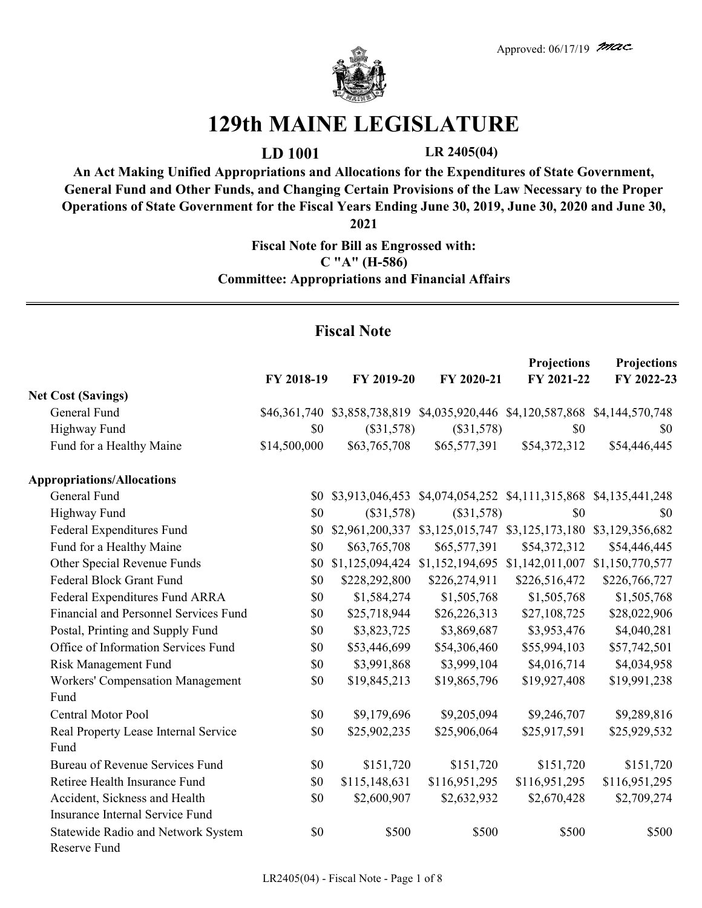

## **129th MAINE LEGISLATURE**

**LD 1001 LR 2405(04)**

**An Act Making Unified Appropriations and Allocations for the Expenditures of State Government, General Fund and Other Funds, and Changing Certain Provisions of the Law Necessary to the Proper Operations of State Government for the Fiscal Years Ending June 30, 2019, June 30, 2020 and June 30,** 

**2021**

**Fiscal Note for Bill as Engrossed with: C "A" (H-586) Committee: Appropriations and Financial Affairs**

## **Fiscal Note**

|                                                                  | FY 2018-19   | FY 2019-20      | FY 2020-21                                                                   | <b>Projections</b><br>FY 2021-22 | Projections<br>FY 2022-23 |
|------------------------------------------------------------------|--------------|-----------------|------------------------------------------------------------------------------|----------------------------------|---------------------------|
| <b>Net Cost (Savings)</b>                                        |              |                 |                                                                              |                                  |                           |
| General Fund                                                     |              |                 | \$46,361,740 \$3,858,738,819 \$4,035,920,446 \$4,120,587,868 \$4,144,570,748 |                                  |                           |
| Highway Fund                                                     | \$0          | $(\$31,578)$    | $(\$31,578)$                                                                 | \$0                              | \$0                       |
| Fund for a Healthy Maine                                         | \$14,500,000 | \$63,765,708    | \$65,577,391                                                                 | \$54,372,312                     | \$54,446,445              |
| <b>Appropriations/Allocations</b>                                |              |                 |                                                                              |                                  |                           |
| General Fund                                                     |              |                 | \$0 \$3,913,046,453 \$4,074,054,252 \$4,111,315,868 \$4,135,441,248          |                                  |                           |
| Highway Fund                                                     | \$0          | $(\$31,578)$    | $(\$31,578)$                                                                 | \$0                              | \$0                       |
| Federal Expenditures Fund                                        | \$0          |                 | \$2,961,200,337 \$3,125,015,747 \$3,125,173,180                              |                                  | \$3,129,356,682           |
| Fund for a Healthy Maine                                         | \$0          | \$63,765,708    | \$65,577,391                                                                 | \$54,372,312                     | \$54,446,445              |
| Other Special Revenue Funds                                      | \$0          | \$1,125,094,424 | \$1,152,194,695                                                              | \$1,142,011,007                  | \$1,150,770,577           |
| Federal Block Grant Fund                                         | \$0          | \$228,292,800   | \$226,274,911                                                                | \$226,516,472                    | \$226,766,727             |
| Federal Expenditures Fund ARRA                                   | \$0          | \$1,584,274     | \$1,505,768                                                                  | \$1,505,768                      | \$1,505,768               |
| Financial and Personnel Services Fund                            | \$0          | \$25,718,944    | \$26,226,313                                                                 | \$27,108,725                     | \$28,022,906              |
| Postal, Printing and Supply Fund                                 | \$0          | \$3,823,725     | \$3,869,687                                                                  | \$3,953,476                      | \$4,040,281               |
| Office of Information Services Fund                              | \$0          | \$53,446,699    | \$54,306,460                                                                 | \$55,994,103                     | \$57,742,501              |
| <b>Risk Management Fund</b>                                      | \$0          | \$3,991,868     | \$3,999,104                                                                  | \$4,016,714                      | \$4,034,958               |
| <b>Workers' Compensation Management</b><br>Fund                  | \$0          | \$19,845,213    | \$19,865,796                                                                 | \$19,927,408                     | \$19,991,238              |
| <b>Central Motor Pool</b>                                        | \$0          | \$9,179,696     | \$9,205,094                                                                  | \$9,246,707                      | \$9,289,816               |
| Real Property Lease Internal Service<br>Fund                     | \$0          | \$25,902,235    | \$25,906,064                                                                 | \$25,917,591                     | \$25,929,532              |
| <b>Bureau of Revenue Services Fund</b>                           | \$0          | \$151,720       | \$151,720                                                                    | \$151,720                        | \$151,720                 |
| Retiree Health Insurance Fund                                    | \$0          | \$115,148,631   | \$116,951,295                                                                | \$116,951,295                    | \$116,951,295             |
| Accident, Sickness and Health<br>Insurance Internal Service Fund | \$0          | \$2,600,907     | \$2,632,932                                                                  | \$2,670,428                      | \$2,709,274               |
| Statewide Radio and Network System<br>Reserve Fund               | \$0          | \$500           | \$500                                                                        | \$500                            | \$500                     |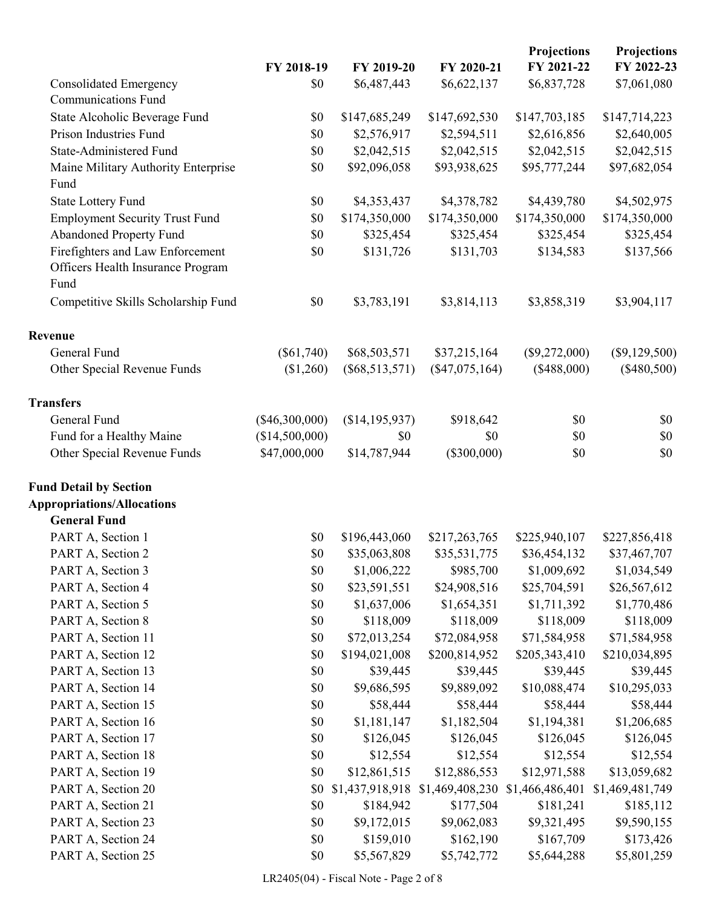|                                                                               | FY 2018-19       | FY 2019-20       | FY 2020-21       | <b>Projections</b><br>FY 2021-22 | Projections<br>FY 2022-23 |
|-------------------------------------------------------------------------------|------------------|------------------|------------------|----------------------------------|---------------------------|
| <b>Consolidated Emergency</b>                                                 | \$0              | \$6,487,443      | \$6,622,137      | \$6,837,728                      | \$7,061,080               |
| <b>Communications Fund</b>                                                    |                  |                  |                  |                                  |                           |
| State Alcoholic Beverage Fund                                                 | \$0              | \$147,685,249    | \$147,692,530    | \$147,703,185                    | \$147,714,223             |
| Prison Industries Fund                                                        | \$0              | \$2,576,917      | \$2,594,511      | \$2,616,856                      | \$2,640,005               |
| <b>State-Administered Fund</b>                                                | \$0              | \$2,042,515      | \$2,042,515      | \$2,042,515                      | \$2,042,515               |
| Maine Military Authority Enterprise<br>Fund                                   | \$0              | \$92,096,058     | \$93,938,625     | \$95,777,244                     | \$97,682,054              |
| <b>State Lottery Fund</b>                                                     | \$0              | \$4,353,437      | \$4,378,782      | \$4,439,780                      | \$4,502,975               |
| <b>Employment Security Trust Fund</b>                                         | \$0              | \$174,350,000    | \$174,350,000    | \$174,350,000                    | \$174,350,000             |
| Abandoned Property Fund                                                       | \$0              | \$325,454        | \$325,454        | \$325,454                        | \$325,454                 |
| Firefighters and Law Enforcement<br>Officers Health Insurance Program<br>Fund | \$0              | \$131,726        | \$131,703        | \$134,583                        | \$137,566                 |
| Competitive Skills Scholarship Fund                                           | \$0              | \$3,783,191      | \$3,814,113      | \$3,858,319                      | \$3,904,117               |
| Revenue                                                                       |                  |                  |                  |                                  |                           |
| General Fund                                                                  | $(\$61,740)$     | \$68,503,571     | \$37,215,164     | $(\$9,272,000)$                  | $(\$9,129,500)$           |
| Other Special Revenue Funds                                                   | (\$1,260)        | $(\$68,513,571)$ | $(\$47,075,164)$ | (\$488,000)                      | $(\$480,500)$             |
| <b>Transfers</b>                                                              |                  |                  |                  |                                  |                           |
| General Fund                                                                  | $(\$46,300,000)$ | (\$14,195,937)   | \$918,642        | \$0                              | \$0                       |
| Fund for a Healthy Maine                                                      | (\$14,500,000)   | \$0              | \$0              | \$0                              | \$0                       |
| Other Special Revenue Funds                                                   | \$47,000,000     | \$14,787,944     | $(\$300,000)$    | \$0                              | \$0                       |
| <b>Fund Detail by Section</b>                                                 |                  |                  |                  |                                  |                           |
| <b>Appropriations/Allocations</b>                                             |                  |                  |                  |                                  |                           |
| <b>General Fund</b>                                                           |                  |                  |                  |                                  |                           |
| PART A, Section 1                                                             | \$0              | \$196,443,060    | \$217,263,765    | \$225,940,107                    | \$227,856,418             |
| PART A, Section 2                                                             | \$0              | \$35,063,808     | \$35,531,775     | \$36,454,132                     | \$37,467,707              |
| PART A, Section 3                                                             | \$0              | \$1,006,222      | \$985,700        | \$1,009,692                      | \$1,034,549               |
| PART A, Section 4                                                             | $\$0$            | \$23,591,551     | \$24,908,516     | \$25,704,591                     | \$26,567,612              |
| PART A, Section 5                                                             | \$0              | \$1,637,006      | \$1,654,351      | \$1,711,392                      | \$1,770,486               |
| PART A, Section 8                                                             | \$0              | \$118,009        | \$118,009        | \$118,009                        | \$118,009                 |
| PART A, Section 11                                                            | \$0              | \$72,013,254     | \$72,084,958     | \$71,584,958                     | \$71,584,958              |
| PART A, Section 12                                                            | \$0              | \$194,021,008    | \$200,814,952    | \$205,343,410                    | \$210,034,895             |
| PART A, Section 13                                                            | \$0              | \$39,445         | \$39,445         | \$39,445                         | \$39,445                  |
| PART A, Section 14                                                            | \$0              | \$9,686,595      | \$9,889,092      | \$10,088,474                     | \$10,295,033              |
| PART A, Section 15                                                            | $\$0$            | \$58,444         | \$58,444         | \$58,444                         | \$58,444                  |
| PART A, Section 16                                                            | \$0              | \$1,181,147      | \$1,182,504      | \$1,194,381                      | \$1,206,685               |
| PART A, Section 17                                                            | \$0              | \$126,045        | \$126,045        | \$126,045                        | \$126,045                 |
| PART A, Section 18                                                            | \$0              | \$12,554         | \$12,554         | \$12,554                         | \$12,554                  |
| PART A, Section 19                                                            | \$0              | \$12,861,515     | \$12,886,553     | \$12,971,588                     | \$13,059,682              |
| PART A, Section 20                                                            | \$0              | \$1,437,918,918  | \$1,469,408,230  | \$1,466,486,401                  | \$1,469,481,749           |
| PART A, Section 21                                                            | \$0              | \$184,942        | \$177,504        | \$181,241                        | \$185,112                 |
| PART A, Section 23                                                            | \$0              | \$9,172,015      | \$9,062,083      | \$9,321,495                      | \$9,590,155               |
| PART A, Section 24                                                            | \$0              | \$159,010        | \$162,190        | \$167,709                        | \$173,426                 |
| PART A, Section 25                                                            | $\$0$            | \$5,567,829      | \$5,742,772      | \$5,644,288                      | \$5,801,259               |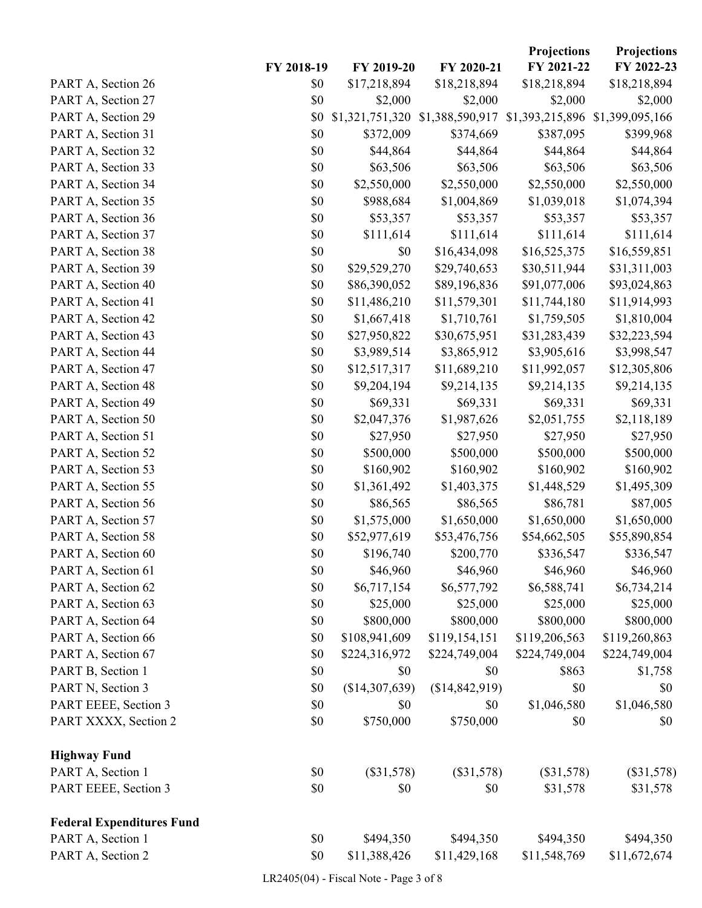|                                  |            |                 |                 | Projections     | <b>Projections</b> |
|----------------------------------|------------|-----------------|-----------------|-----------------|--------------------|
|                                  | FY 2018-19 | FY 2019-20      | FY 2020-21      | FY 2021-22      | FY 2022-23         |
| PART A, Section 26               | \$0        | \$17,218,894    | \$18,218,894    | \$18,218,894    | \$18,218,894       |
| PART A, Section 27               | \$0        | \$2,000         | \$2,000         | \$2,000         | \$2,000            |
| PART A, Section 29               | \$0        | \$1,321,751,320 | \$1,388,590,917 | \$1,393,215,896 | \$1,399,095,166    |
| PART A, Section 31               | \$0        | \$372,009       | \$374,669       | \$387,095       | \$399,968          |
| PART A, Section 32               | \$0        | \$44,864        | \$44,864        | \$44,864        | \$44,864           |
| PART A, Section 33               | \$0        | \$63,506        | \$63,506        | \$63,506        | \$63,506           |
| PART A, Section 34               | \$0        | \$2,550,000     | \$2,550,000     | \$2,550,000     | \$2,550,000        |
| PART A, Section 35               | \$0        | \$988,684       | \$1,004,869     | \$1,039,018     | \$1,074,394        |
| PART A, Section 36               | \$0        | \$53,357        | \$53,357        | \$53,357        | \$53,357           |
| PART A, Section 37               | \$0        | \$111,614       | \$111,614       | \$111,614       | \$111,614          |
| PART A, Section 38               | \$0        | \$0             | \$16,434,098    | \$16,525,375    | \$16,559,851       |
| PART A, Section 39               | \$0        | \$29,529,270    | \$29,740,653    | \$30,511,944    | \$31,311,003       |
| PART A, Section 40               | \$0        | \$86,390,052    | \$89,196,836    | \$91,077,006    | \$93,024,863       |
| PART A, Section 41               | \$0        | \$11,486,210    | \$11,579,301    | \$11,744,180    | \$11,914,993       |
| PART A, Section 42               | \$0        | \$1,667,418     | \$1,710,761     | \$1,759,505     | \$1,810,004        |
| PART A, Section 43               | \$0        | \$27,950,822    | \$30,675,951    | \$31,283,439    | \$32,223,594       |
| PART A, Section 44               | \$0        | \$3,989,514     | \$3,865,912     | \$3,905,616     | \$3,998,547        |
| PART A, Section 47               | \$0        | \$12,517,317    | \$11,689,210    | \$11,992,057    | \$12,305,806       |
| PART A, Section 48               | \$0        | \$9,204,194     | \$9,214,135     | \$9,214,135     | \$9,214,135        |
| PART A, Section 49               | \$0        | \$69,331        | \$69,331        | \$69,331        | \$69,331           |
| PART A, Section 50               | \$0        | \$2,047,376     | \$1,987,626     | \$2,051,755     | \$2,118,189        |
| PART A, Section 51               | \$0        | \$27,950        | \$27,950        | \$27,950        | \$27,950           |
| PART A, Section 52               | \$0        | \$500,000       | \$500,000       | \$500,000       | \$500,000          |
| PART A, Section 53               | \$0        | \$160,902       | \$160,902       | \$160,902       | \$160,902          |
| PART A, Section 55               | \$0        | \$1,361,492     | \$1,403,375     | \$1,448,529     | \$1,495,309        |
| PART A, Section 56               | \$0        | \$86,565        | \$86,565        | \$86,781        | \$87,005           |
| PART A, Section 57               | \$0        | \$1,575,000     | \$1,650,000     | \$1,650,000     | \$1,650,000        |
| PART A, Section 58               | \$0        | \$52,977,619    | \$53,476,756    | \$54,662,505    | \$55,890,854       |
| PART A, Section 60               | \$0        | \$196,740       | \$200,770       | \$336,547       | \$336,547          |
| PART A, Section 61               | \$0        | \$46,960        | \$46,960        | \$46,960        | \$46,960           |
| PART A, Section 62               | $\$0$      | \$6,717,154     | \$6,577,792     | \$6,588,741     | \$6,734,214        |
| PART A, Section 63               | \$0        | \$25,000        | \$25,000        | \$25,000        | \$25,000           |
| PART A, Section 64               | \$0        | \$800,000       | \$800,000       | \$800,000       | \$800,000          |
| PART A, Section 66               | \$0        | \$108,941,609   | \$119,154,151   | \$119,206,563   | \$119,260,863      |
| PART A, Section 67               | \$0        | \$224,316,972   | \$224,749,004   | \$224,749,004   | \$224,749,004      |
| PART B, Section 1                | \$0        | \$0             | \$0             | \$863           | \$1,758            |
| PART N, Section 3                | \$0        | (\$14,307,639)  | (\$14,842,919)  | \$0             | \$0                |
| PART EEEE, Section 3             | $\$0$      | \$0             | \$0             | \$1,046,580     | \$1,046,580        |
| PART XXXX, Section 2             | \$0        | \$750,000       | \$750,000       | \$0             | \$0                |
| <b>Highway Fund</b>              |            |                 |                 |                 |                    |
| PART A, Section 1                | \$0        | $(\$31,578)$    | $(\$31,578)$    | $(\$31,578)$    | $(\$31,578)$       |
| PART EEEE, Section 3             | \$0        | \$0             | \$0             | \$31,578        | \$31,578           |
| <b>Federal Expenditures Fund</b> |            |                 |                 |                 |                    |
| PART A, Section 1                | \$0        | \$494,350       | \$494,350       | \$494,350       | \$494,350          |
| PART A, Section 2                | $\$0$      | \$11,388,426    | \$11,429,168    | \$11,548,769    | \$11,672,674       |

LR2405(04) - Fiscal Note - Page 3 of 8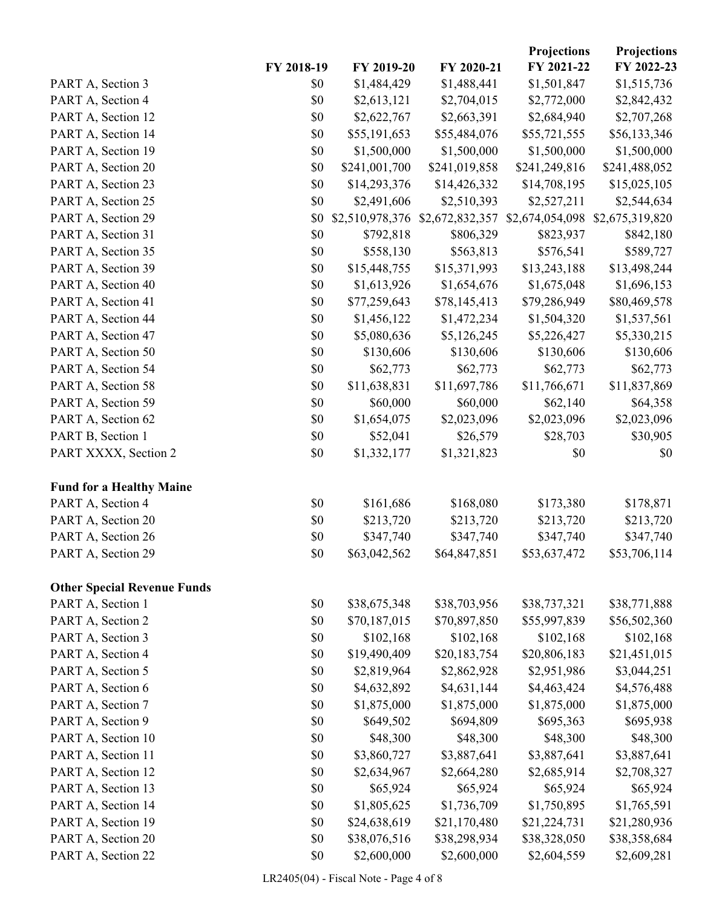|                                    |            |                 |                 | Projections     | Projections     |
|------------------------------------|------------|-----------------|-----------------|-----------------|-----------------|
|                                    | FY 2018-19 | FY 2019-20      | FY 2020-21      | FY 2021-22      | FY 2022-23      |
| PART A, Section 3                  | \$0        | \$1,484,429     | \$1,488,441     | \$1,501,847     | \$1,515,736     |
| PART A, Section 4                  | \$0        | \$2,613,121     | \$2,704,015     | \$2,772,000     | \$2,842,432     |
| PART A, Section 12                 | \$0        | \$2,622,767     | \$2,663,391     | \$2,684,940     | \$2,707,268     |
| PART A, Section 14                 | \$0        | \$55,191,653    | \$55,484,076    | \$55,721,555    | \$56,133,346    |
| PART A, Section 19                 | \$0        | \$1,500,000     | \$1,500,000     | \$1,500,000     | \$1,500,000     |
| PART A, Section 20                 | \$0        | \$241,001,700   | \$241,019,858   | \$241,249,816   | \$241,488,052   |
| PART A, Section 23                 | \$0        | \$14,293,376    | \$14,426,332    | \$14,708,195    | \$15,025,105    |
| PART A, Section 25                 | \$0        | \$2,491,606     | \$2,510,393     | \$2,527,211     | \$2,544,634     |
| PART A, Section 29                 | \$0        | \$2,510,978,376 | \$2,672,832,357 | \$2,674,054,098 | \$2,675,319,820 |
| PART A, Section 31                 | \$0        | \$792,818       | \$806,329       | \$823,937       | \$842,180       |
| PART A, Section 35                 | \$0        | \$558,130       | \$563,813       | \$576,541       | \$589,727       |
| PART A, Section 39                 | \$0        | \$15,448,755    | \$15,371,993    | \$13,243,188    | \$13,498,244    |
| PART A, Section 40                 | \$0        | \$1,613,926     | \$1,654,676     | \$1,675,048     | \$1,696,153     |
| PART A, Section 41                 | \$0        | \$77,259,643    | \$78,145,413    | \$79,286,949    | \$80,469,578    |
| PART A, Section 44                 | \$0        | \$1,456,122     | \$1,472,234     | \$1,504,320     | \$1,537,561     |
| PART A, Section 47                 | \$0        | \$5,080,636     | \$5,126,245     | \$5,226,427     | \$5,330,215     |
| PART A, Section 50                 | \$0        | \$130,606       | \$130,606       | \$130,606       | \$130,606       |
| PART A, Section 54                 | \$0        | \$62,773        | \$62,773        | \$62,773        | \$62,773        |
| PART A, Section 58                 | \$0        | \$11,638,831    | \$11,697,786    | \$11,766,671    | \$11,837,869    |
| PART A, Section 59                 | \$0        | \$60,000        | \$60,000        | \$62,140        | \$64,358        |
| PART A, Section 62                 | \$0        | \$1,654,075     | \$2,023,096     | \$2,023,096     | \$2,023,096     |
| PART B, Section 1                  | \$0        | \$52,041        | \$26,579        | \$28,703        | \$30,905        |
| PART XXXX, Section 2               | \$0        | \$1,332,177     | \$1,321,823     | \$0             | \$0             |
|                                    |            |                 |                 |                 |                 |
| <b>Fund for a Healthy Maine</b>    |            |                 |                 |                 |                 |
| PART A, Section 4                  | \$0        | \$161,686       | \$168,080       | \$173,380       | \$178,871       |
| PART A, Section 20                 | \$0        | \$213,720       | \$213,720       | \$213,720       | \$213,720       |
| PART A, Section 26                 | \$0        | \$347,740       | \$347,740       | \$347,740       | \$347,740       |
| PART A, Section 29                 | \$0        | \$63,042,562    | \$64,847,851    | \$53,637,472    | \$53,706,114    |
|                                    |            |                 |                 |                 |                 |
| <b>Other Special Revenue Funds</b> |            |                 |                 |                 |                 |
| PART A, Section 1                  | \$0        | \$38,675,348    | \$38,703,956    | \$38,737,321    | \$38,771,888    |
| PART A, Section 2                  | \$0        | \$70,187,015    | \$70,897,850    | \$55,997,839    | \$56,502,360    |
| PART A, Section 3                  | \$0        | \$102,168       | \$102,168       | \$102,168       | \$102,168       |
| PART A, Section 4                  | \$0        | \$19,490,409    | \$20,183,754    | \$20,806,183    | \$21,451,015    |
| PART A, Section 5                  | \$0        | \$2,819,964     | \$2,862,928     | \$2,951,986     | \$3,044,251     |
| PART A, Section 6                  | \$0        | \$4,632,892     | \$4,631,144     | \$4,463,424     | \$4,576,488     |
| PART A, Section 7                  | \$0        | \$1,875,000     | \$1,875,000     | \$1,875,000     | \$1,875,000     |
| PART A, Section 9                  | \$0        | \$649,502       | \$694,809       | \$695,363       | \$695,938       |
| PART A, Section 10                 | \$0        | \$48,300        | \$48,300        | \$48,300        | \$48,300        |
| PART A, Section 11                 | \$0        | \$3,860,727     | \$3,887,641     | \$3,887,641     | \$3,887,641     |
| PART A, Section 12                 | \$0        | \$2,634,967     | \$2,664,280     | \$2,685,914     | \$2,708,327     |
| PART A, Section 13                 | \$0        | \$65,924        | \$65,924        | \$65,924        | \$65,924        |
| PART A, Section 14                 | \$0        | \$1,805,625     | \$1,736,709     | \$1,750,895     | \$1,765,591     |
| PART A, Section 19                 | $\$0$      | \$24,638,619    | \$21,170,480    | \$21,224,731    | \$21,280,936    |
| PART A, Section 20                 | \$0        | \$38,076,516    | \$38,298,934    | \$38,328,050    | \$38,358,684    |
| PART A, Section 22                 | \$0        | \$2,600,000     | \$2,600,000     | \$2,604,559     | \$2,609,281     |

LR2405(04) - Fiscal Note - Page 4 of 8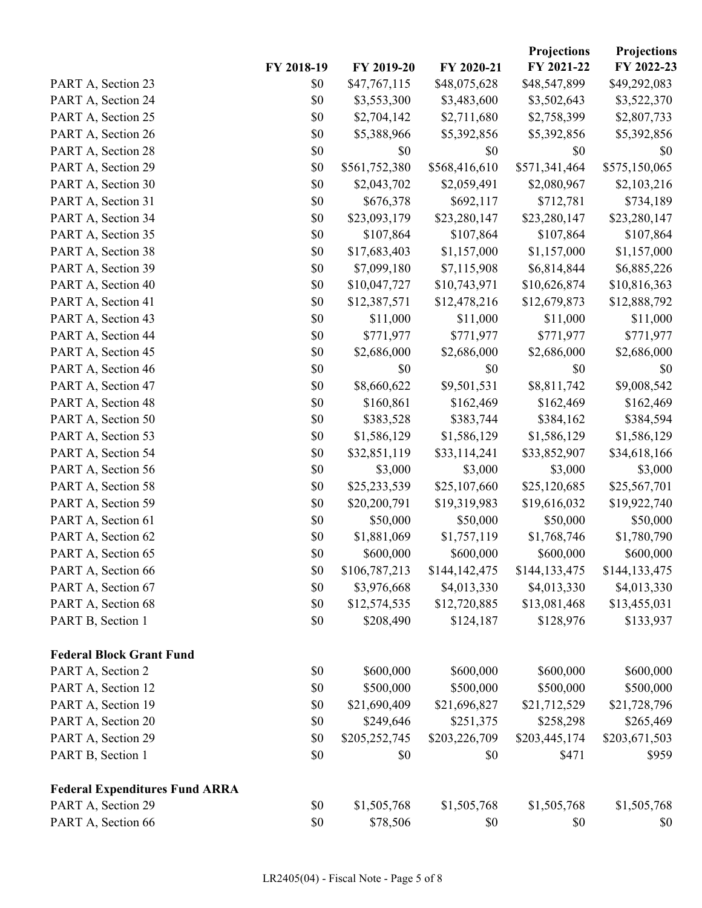|                                       |            |               |               | Projections   | <b>Projections</b> |
|---------------------------------------|------------|---------------|---------------|---------------|--------------------|
|                                       | FY 2018-19 | FY 2019-20    | FY 2020-21    | FY 2021-22    | FY 2022-23         |
| PART A, Section 23                    | \$0        | \$47,767,115  | \$48,075,628  | \$48,547,899  | \$49,292,083       |
| PART A, Section 24                    | \$0        | \$3,553,300   | \$3,483,600   | \$3,502,643   | \$3,522,370        |
| PART A, Section 25                    | \$0        | \$2,704,142   | \$2,711,680   | \$2,758,399   | \$2,807,733        |
| PART A, Section 26                    | \$0        | \$5,388,966   | \$5,392,856   | \$5,392,856   | \$5,392,856        |
| PART A, Section 28                    | \$0        | \$0           | \$0           | \$0           | \$0                |
| PART A, Section 29                    | \$0        | \$561,752,380 | \$568,416,610 | \$571,341,464 | \$575,150,065      |
| PART A, Section 30                    | \$0        | \$2,043,702   | \$2,059,491   | \$2,080,967   | \$2,103,216        |
| PART A, Section 31                    | \$0        | \$676,378     | \$692,117     | \$712,781     | \$734,189          |
| PART A, Section 34                    | \$0        | \$23,093,179  | \$23,280,147  | \$23,280,147  | \$23,280,147       |
| PART A, Section 35                    | \$0        | \$107,864     | \$107,864     | \$107,864     | \$107,864          |
| PART A, Section 38                    | \$0        | \$17,683,403  | \$1,157,000   | \$1,157,000   | \$1,157,000        |
| PART A, Section 39                    | \$0        | \$7,099,180   | \$7,115,908   | \$6,814,844   | \$6,885,226        |
| PART A, Section 40                    | \$0        | \$10,047,727  | \$10,743,971  | \$10,626,874  | \$10,816,363       |
| PART A, Section 41                    | \$0        | \$12,387,571  | \$12,478,216  | \$12,679,873  | \$12,888,792       |
| PART A, Section 43                    | \$0        | \$11,000      | \$11,000      | \$11,000      | \$11,000           |
| PART A, Section 44                    | \$0        | \$771,977     | \$771,977     | \$771,977     | \$771,977          |
| PART A, Section 45                    | \$0        | \$2,686,000   | \$2,686,000   | \$2,686,000   | \$2,686,000        |
| PART A, Section 46                    | \$0        | \$0           | \$0           | \$0           | \$0                |
| PART A, Section 47                    | \$0        | \$8,660,622   | \$9,501,531   | \$8,811,742   | \$9,008,542        |
| PART A, Section 48                    | \$0        | \$160,861     | \$162,469     | \$162,469     | \$162,469          |
| PART A, Section 50                    | \$0        | \$383,528     | \$383,744     | \$384,162     | \$384,594          |
| PART A, Section 53                    | \$0        | \$1,586,129   | \$1,586,129   | \$1,586,129   | \$1,586,129        |
| PART A, Section 54                    | \$0        | \$32,851,119  | \$33,114,241  | \$33,852,907  | \$34,618,166       |
| PART A, Section 56                    | \$0        | \$3,000       | \$3,000       | \$3,000       | \$3,000            |
| PART A, Section 58                    | \$0        | \$25,233,539  | \$25,107,660  | \$25,120,685  | \$25,567,701       |
| PART A, Section 59                    | \$0        | \$20,200,791  | \$19,319,983  | \$19,616,032  | \$19,922,740       |
| PART A, Section 61                    | \$0        | \$50,000      | \$50,000      | \$50,000      | \$50,000           |
| PART A, Section 62                    | \$0        | \$1,881,069   | \$1,757,119   | \$1,768,746   | \$1,780,790        |
| PART A, Section 65                    | \$0        | \$600,000     | \$600,000     | \$600,000     | \$600,000          |
| PART A, Section 66                    | \$0        | \$106,787,213 | \$144,142,475 | \$144,133,475 | \$144,133,475      |
| PART A, Section 67                    | \$0        | \$3,976,668   | \$4,013,330   | \$4,013,330   | \$4,013,330        |
| PART A, Section 68                    | \$0        | \$12,574,535  | \$12,720,885  | \$13,081,468  | \$13,455,031       |
| PART B, Section 1                     | \$0        | \$208,490     | \$124,187     | \$128,976     | \$133,937          |
| <b>Federal Block Grant Fund</b>       |            |               |               |               |                    |
| PART A, Section 2                     | \$0        | \$600,000     | \$600,000     | \$600,000     | \$600,000          |
| PART A, Section 12                    | \$0        | \$500,000     | \$500,000     | \$500,000     | \$500,000          |
| PART A, Section 19                    | \$0        | \$21,690,409  | \$21,696,827  | \$21,712,529  | \$21,728,796       |
| PART A, Section 20                    | \$0        | \$249,646     | \$251,375     | \$258,298     | \$265,469          |
| PART A, Section 29                    | \$0        | \$205,252,745 | \$203,226,709 | \$203,445,174 | \$203,671,503      |
| PART B, Section 1                     | \$0        | \$0           | \$0           | \$471         | \$959              |
| <b>Federal Expenditures Fund ARRA</b> |            |               |               |               |                    |
| PART A, Section 29                    | \$0        | \$1,505,768   | \$1,505,768   | \$1,505,768   | \$1,505,768        |
| PART A, Section 66                    | \$0        | \$78,506      | \$0           | \$0           | \$0                |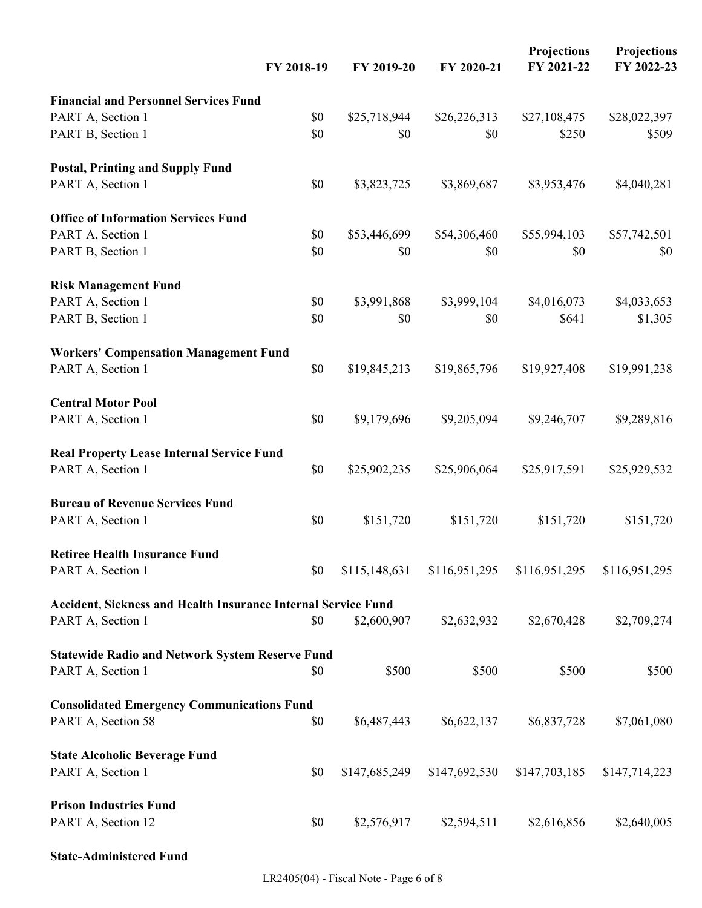|                                                               | FY 2018-19 | FY 2019-20    | FY 2020-21    | <b>Projections</b><br>FY 2021-22 | <b>Projections</b><br>FY 2022-23 |
|---------------------------------------------------------------|------------|---------------|---------------|----------------------------------|----------------------------------|
| <b>Financial and Personnel Services Fund</b>                  |            |               |               |                                  |                                  |
| PART A, Section 1                                             | \$0        | \$25,718,944  | \$26,226,313  | \$27,108,475                     | \$28,022,397                     |
| PART B, Section 1                                             | \$0        | \$0           | \$0           | \$250                            | \$509                            |
| <b>Postal, Printing and Supply Fund</b>                       |            |               |               |                                  |                                  |
| PART A, Section 1                                             | \$0        | \$3,823,725   | \$3,869,687   | \$3,953,476                      | \$4,040,281                      |
| <b>Office of Information Services Fund</b>                    |            |               |               |                                  |                                  |
| PART A, Section 1                                             | \$0        | \$53,446,699  | \$54,306,460  | \$55,994,103                     | \$57,742,501                     |
| PART B, Section 1                                             | \$0        | \$0           | \$0           | \$0                              | \$0                              |
| <b>Risk Management Fund</b>                                   |            |               |               |                                  |                                  |
| PART A, Section 1                                             | \$0        | \$3,991,868   | \$3,999,104   | \$4,016,073                      | \$4,033,653                      |
| PART B, Section 1                                             | \$0        | \$0           | \$0           | \$641                            | \$1,305                          |
| <b>Workers' Compensation Management Fund</b>                  |            |               |               |                                  |                                  |
| PART A, Section 1                                             | \$0        | \$19,845,213  | \$19,865,796  | \$19,927,408                     | \$19,991,238                     |
| <b>Central Motor Pool</b>                                     |            |               |               |                                  |                                  |
| PART A, Section 1                                             | \$0        | \$9,179,696   | \$9,205,094   | \$9,246,707                      | \$9,289,816                      |
| <b>Real Property Lease Internal Service Fund</b>              |            |               |               |                                  |                                  |
| PART A, Section 1                                             | \$0        | \$25,902,235  | \$25,906,064  | \$25,917,591                     | \$25,929,532                     |
| <b>Bureau of Revenue Services Fund</b>                        |            |               |               |                                  |                                  |
| PART A, Section 1                                             | \$0        | \$151,720     | \$151,720     | \$151,720                        | \$151,720                        |
| <b>Retiree Health Insurance Fund</b>                          |            |               |               |                                  |                                  |
| PART A, Section 1                                             | \$0        | \$115,148,631 | \$116,951,295 | \$116,951,295                    | \$116,951,295                    |
| Accident, Sickness and Health Insurance Internal Service Fund |            |               |               |                                  |                                  |
| PART A, Section 1                                             | \$0        | \$2,600,907   | \$2,632,932   | \$2,670,428                      | \$2,709,274                      |
| <b>Statewide Radio and Network System Reserve Fund</b>        |            |               |               |                                  |                                  |
| PART A, Section 1                                             | \$0        | \$500         | \$500         | \$500                            | \$500                            |
| <b>Consolidated Emergency Communications Fund</b>             |            |               |               |                                  |                                  |
| PART A, Section 58                                            | \$0        | \$6,487,443   | \$6,622,137   | \$6,837,728                      | \$7,061,080                      |
| <b>State Alcoholic Beverage Fund</b>                          |            |               |               |                                  |                                  |
| PART A, Section 1                                             | \$0        | \$147,685,249 | \$147,692,530 | \$147,703,185                    | \$147,714,223                    |
| <b>Prison Industries Fund</b>                                 |            |               |               |                                  |                                  |
| PART A, Section 12                                            | \$0        | \$2,576,917   | \$2,594,511   | \$2,616,856                      | \$2,640,005                      |
| <b>State-Administered Fund</b>                                |            |               |               |                                  |                                  |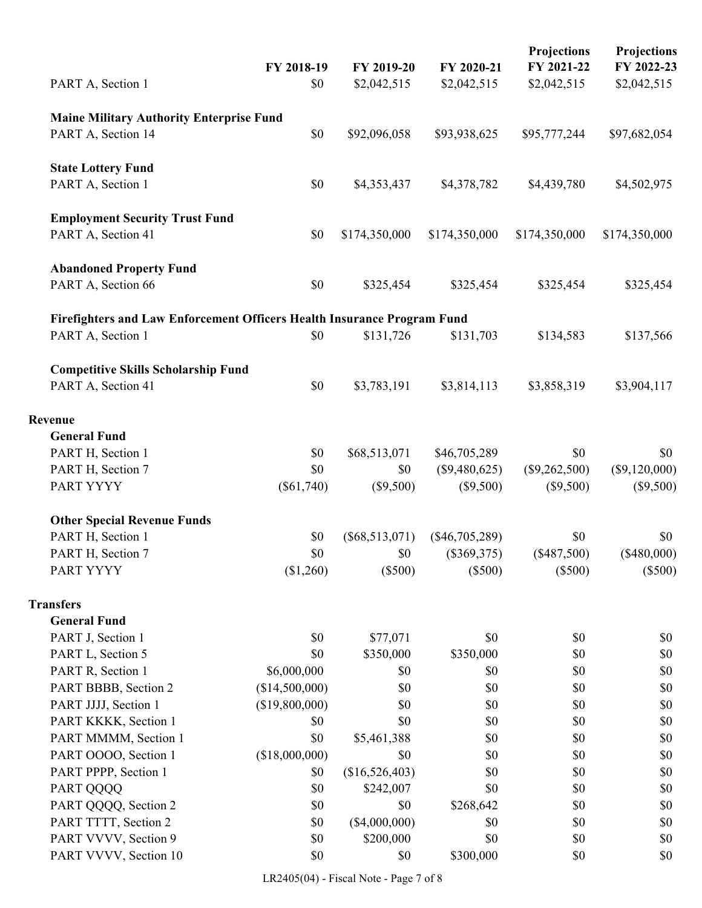| PART A, Section 1                                                       | FY 2018-19<br>\$0 | FY 2019-20<br>\$2,042,515 | FY 2020-21<br>\$2,042,515 | Projections<br>FY 2021-22<br>\$2,042,515 | <b>Projections</b><br>FY 2022-23<br>\$2,042,515 |
|-------------------------------------------------------------------------|-------------------|---------------------------|---------------------------|------------------------------------------|-------------------------------------------------|
| <b>Maine Military Authority Enterprise Fund</b>                         |                   |                           |                           |                                          |                                                 |
| PART A, Section 14                                                      | \$0               | \$92,096,058              | \$93,938,625              | \$95,777,244                             | \$97,682,054                                    |
| <b>State Lottery Fund</b>                                               |                   |                           |                           |                                          |                                                 |
| PART A, Section 1                                                       | \$0               | \$4,353,437               | \$4,378,782               | \$4,439,780                              | \$4,502,975                                     |
| <b>Employment Security Trust Fund</b><br>PART A, Section 41             | \$0               | \$174,350,000             | \$174,350,000             | \$174,350,000                            | \$174,350,000                                   |
| <b>Abandoned Property Fund</b><br>PART A, Section 66                    | \$0               | \$325,454                 | \$325,454                 | \$325,454                                | \$325,454                                       |
| Firefighters and Law Enforcement Officers Health Insurance Program Fund |                   |                           |                           |                                          |                                                 |
| PART A, Section 1                                                       | \$0               | \$131,726                 | \$131,703                 | \$134,583                                | \$137,566                                       |
| <b>Competitive Skills Scholarship Fund</b><br>PART A, Section 41        | \$0               | \$3,783,191               | \$3,814,113               | \$3,858,319                              | \$3,904,117                                     |
| Revenue                                                                 |                   |                           |                           |                                          |                                                 |
| <b>General Fund</b>                                                     |                   |                           |                           |                                          |                                                 |
| PART H, Section 1                                                       | \$0               | \$68,513,071              | \$46,705,289              | \$0                                      | \$0                                             |
| PART H, Section 7                                                       | \$0               | \$0                       | $(\$9,480,625)$           | $(\$9,262,500)$                          | $(\$9,120,000)$                                 |
| PART YYYY                                                               | $(\$61,740)$      | $(\$9,500)$               | $(\$9,500)$               | $(\$9,500)$                              | $(\$9,500)$                                     |
| <b>Other Special Revenue Funds</b>                                      |                   |                           |                           |                                          |                                                 |
| PART H, Section 1                                                       | \$0               | $(\$68,513,071)$          | $(\$46,705,289)$          | \$0                                      | \$0                                             |
| PART H, Section 7                                                       | \$0               | \$0                       | $(\$369,375)$             | $(\$487,500)$                            | $(\$480,000)$                                   |
| PART YYYY                                                               | (\$1,260)         | $(\$500)$                 | $(\$500)$                 | $(\$500)$                                | $(\$500)$                                       |
| <b>Transfers</b>                                                        |                   |                           |                           |                                          |                                                 |
| <b>General Fund</b>                                                     |                   |                           |                           |                                          |                                                 |
| PART J, Section 1                                                       | \$0               | \$77,071                  | \$0                       | \$0                                      | \$0                                             |
| PART L, Section 5                                                       | \$0               | \$350,000                 | \$350,000                 | \$0                                      | \$0                                             |
| PART R, Section 1                                                       | \$6,000,000       | \$0                       | \$0                       | \$0                                      | \$0                                             |
| PART BBBB, Section 2                                                    | (\$14,500,000)    | \$0                       | \$0                       | \$0                                      | \$0                                             |
| PART JJJJ, Section 1                                                    | (\$19,800,000)    | \$0                       | \$0                       | \$0                                      | \$0                                             |
| PART KKKK, Section 1                                                    | \$0               | \$0                       | \$0                       | \$0                                      | \$0                                             |
| PART MMMM, Section 1                                                    | \$0               | \$5,461,388               | \$0                       | \$0                                      | \$0                                             |
| PART OOOO, Section 1                                                    | (\$18,000,000)    | \$0                       | \$0                       | \$0                                      | \$0                                             |
| PART PPPP, Section 1                                                    | \$0               | (\$16,526,403)            | \$0                       | \$0                                      | \$0                                             |
| PART QQQQ                                                               | \$0               | \$242,007                 | \$0                       | \$0                                      | \$0                                             |
| PART QQQQ, Section 2                                                    | \$0               | \$0                       | \$268,642                 | \$0                                      | \$0                                             |
| PART TTTT, Section 2                                                    | \$0               | $(\$4,000,000)$           | \$0                       | \$0                                      | \$0                                             |
| PART VVVV, Section 9                                                    | \$0               | \$200,000                 | \$0                       | \$0                                      | \$0                                             |
| PART VVVV, Section 10                                                   | \$0               | \$0                       | \$300,000                 | \$0                                      | \$0                                             |

LR2405(04) - Fiscal Note - Page 7 of 8